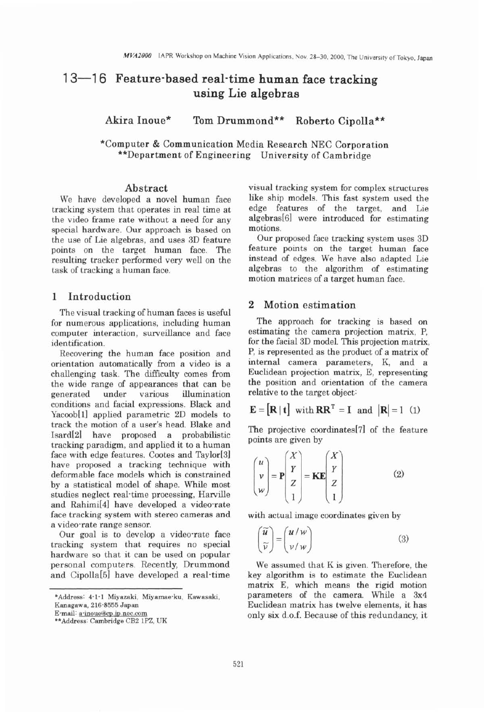# 13-16 Feature-based real-time human face tracking **using Lie algebras**

**Akira Inoue\* Tom Drummond\*\* Roberto Cipolla\*\*** 

\*Computer & Communication Media Research NEC Corporation \*\*Department of Engineering University of Cambridge

### **Abstract**

We have developed a novel human face tracking system that operates in real time at the video frame rate without a need for any special hardware. Our approach is based on the use of Lie algebras, and uses **3D** feature points on the target human face. The resulting tracker performed very well on the task of tracking a human face.

#### **1 Introduction**

The visual tracking of human faces is useful for numerous applications, including human computer interaction, surveillance and face identification.

Recovering the human face position and orientation automatically from a video is a challenging task. The difficulty comes from the wide range of appearances that can be generated under various illumination conditions and facial expressions. Black and Yacoob[ll applied parametric 2D models to track the motion of a user's head. Blake and Isard[BI have proposed a probabilistic tracking paradigm, and applied it to a human face with edge features. Cootes and Taylor<sup>[3]</sup> have proposed a tracking technique with deformable face models which is constrained by a statistical model of shape. While most studies neglect real-time processing, Harville and Rahimi<sup>[4]</sup> have developed a video-rate face tracking system with stereo cameras and a video-rate range sensor.

Our goal is to develop a video-rate face tracking system that requires no special hardware so that it can be used on popular personal computers. Recently, Drummond and Cipolla[51 have developed a real-time

**Kanagawa, 216-8555 Japan**  E-mail: a-inoue@cp.jp.nec.com visual tracking system for complex structures like ship models. This fast system used the edge features of the target, and Lie algebras<sup>[6]</sup> were introduced for estimating motions.

Our proposed face tracking system uses 3D feature points on the target human face instead of edges. We have also adapted Lie algebras to the algorithm of estimating motion matrices of a target human face.

# **2 Motion estimation**

The approach for tracking is based on estimating the camera projection matrix, P, for the facial **3D** model. This projection matrix, P, is represented as the product of a matrix of internal camera parameters, K, and a Euclidean projection matrix, E, representing the position and orientation of the camera relative to the target object:

$$
\mathbf{E} = [\mathbf{R} | \mathbf{t}] \text{ with } \mathbf{R}\mathbf{R}^{\mathrm{T}} = \mathbf{I} \text{ and } |\mathbf{R}| = 1 \text{ (1)}
$$

The projective coordinates[71 of the feature points are given by

$$
\begin{pmatrix} u \\ v \\ w \end{pmatrix} = \mathbf{P} \begin{pmatrix} X \\ Y \\ Z \\ 1 \end{pmatrix} = \mathbf{K} \mathbf{E} \begin{pmatrix} X \\ Y \\ Z \\ 1 \end{pmatrix}
$$
 (2)

with actual image coordinates given by

$$
\begin{pmatrix} \widetilde{u} \\ \widetilde{v} \end{pmatrix} = \begin{pmatrix} u/w \\ v/w \end{pmatrix}
$$
 (3)

We assumed that K is given. Therefore, the key algorithm is to estimate the Euclidean matrix E, which means the rigid motion parameters of the camera. While a 3x4 Euclidean matrix has twelve elements, it has only six d.0.f. Because of this redundancy, it

**<sup>\*</sup>Address: 4.1- 1 Miyazaki, Miyarnae-ku, Kawasaki,** 

**<sup>\*\*</sup>Address: Cambridge CB2 lPZ, UK**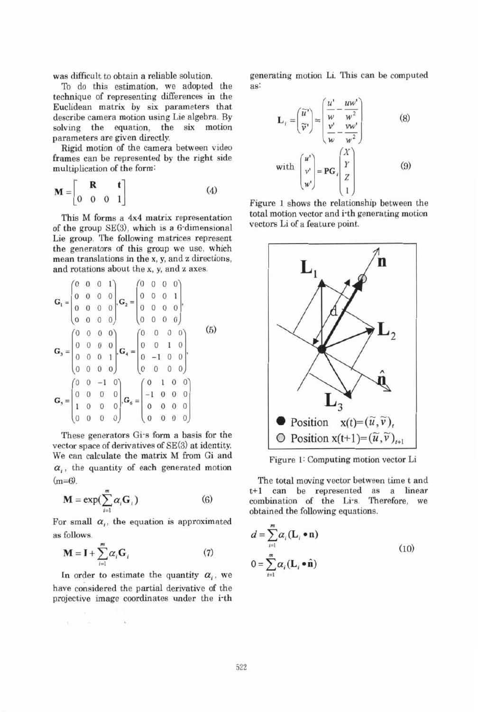was difficult to obtain a reliable solution.

To do this estimation, we adopted the technique of representing differences in the Euclidean matrix by six parameters that describe camera motion using Lie algebra. By solving the equation, the six motion parameters are given directly.

Rigid motion of the camera between video frames can be represented by the right side multiplication of the form:

$$
\mathbf{M} = \begin{bmatrix} \mathbf{R} & \mathbf{t} \\ 0 & 0 & 0 & 1 \end{bmatrix} \tag{4}
$$

This M forms a 4x4 matrix representation of the group SE(3), which is a 6-dimensional Lie group. The following matrices represent the generators of this group we use, which mean translations in the x, y, and **z** directions, and rotations about the x, y, and **z** axes.

$$
\mathbf{G}_{1} = \begin{pmatrix} 0 & 0 & 0 & 1 \\ 0 & 0 & 0 & 0 \\ 0 & 0 & 0 & 0 \\ 0 & 0 & 0 & 0 \end{pmatrix}, \mathbf{G}_{2} = \begin{pmatrix} 0 & 0 & 0 & 0 \\ 0 & 0 & 0 & 1 \\ 0 & 0 & 0 & 0 \\ 0 & 0 & 0 & 0 \end{pmatrix},
$$
\n
$$
\mathbf{G}_{3} = \begin{pmatrix} 0 & 0 & 0 & 0 \\ 0 & 0 & 0 & 0 \\ 0 & 0 & 0 & 1 \\ 0 & 0 & 0 & 0 \end{pmatrix}, \mathbf{G}_{4} = \begin{pmatrix} 0 & 0 & 0 & 0 \\ 0 & 0 & 1 & 0 \\ 0 & -1 & 0 & 0 \\ 0 & 0 & 0 & 0 \end{pmatrix},
$$
\n
$$
\mathbf{G}_{5} = \begin{pmatrix} 0 & 0 & -1 & 0 \\ 0 & 0 & 0 & 0 \\ 1 & 0 & 0 & 0 \\ 0 & 0 & 0 & 0 \end{pmatrix}, \mathbf{G}_{6} = \begin{pmatrix} 0 & 1 & 0 & 0 \\ -1 & 0 & 0 & 0 \\ 0 & 0 & 0 & 0 \\ 0 & 0 & 0 & 0 \end{pmatrix}
$$

These generators Gi-s form a basis for the vector space of derivatives of SE(3) at identity. We can calculate the matrix M from Gi and  $\alpha$ ,, the quantity of each generated motion  $(m=6)$ .

$$
\mathbf{M} = \exp(\sum_{i=1}^{m} \alpha_i \mathbf{G}_i)
$$
 (6)

For small  $\alpha_i$ , the equation is approximated as follows.

$$
\mathbf{M} = \mathbf{I} + \sum_{i=1}^{m} \alpha_i \mathbf{G}_i \tag{7}
$$

In order to estimate the quantity  $\alpha_i$ , we have considered the partial derivative of the projective image coordinates under the i-th

R. R. P. S. (8)

generating motion Li. This can be computed as:

$$
\mathbf{L}_{i} = \begin{pmatrix} \widetilde{u}^{t} \\ \widetilde{v}^{t} \end{pmatrix} = \begin{pmatrix} \frac{u^{t}}{w} - \frac{uw^{t}}{w^{2}} \\ \frac{v^{t}}{w} - \frac{vw^{t}}{w^{2}} \end{pmatrix}
$$
(8)  
with 
$$
\begin{pmatrix} u^{t} \\ v^{t} \\ w^{t} \end{pmatrix} = \mathbf{P} \mathbf{G}_{i} \begin{pmatrix} X \\ Y \\ Z \\ 1 \end{pmatrix}
$$
(9)

Figure 1 shows the relationship between the total motion vector and i-th generating motion vectors Li of a feature point.



Figure 1: Computing motion vector Li

The total moving vector between time t and t+l can be represented as a linear combination of the Li-s. Therefore, we obtained the following equations.

$$
d = \sum_{i=1}^{m} \alpha_i (\mathbf{L}_i \bullet \mathbf{n})
$$
  

$$
0 = \sum_{i=1}^{m} \alpha_i (\mathbf{L}_i \bullet \hat{\mathbf{n}})
$$
 (10)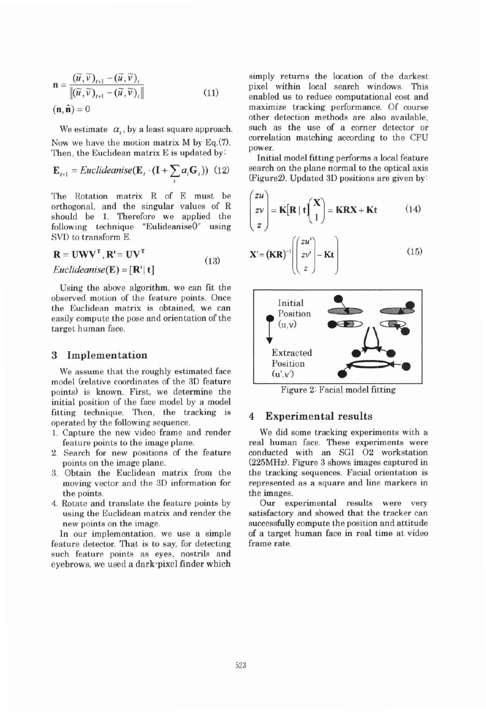$$
\mathbf{n} = \frac{(\widetilde{u}, \widetilde{v})_{t+1} - (\widetilde{u}, \widetilde{v})_t}{\|(\widetilde{u}, \widetilde{v})_{t+1} - (\widetilde{u}, \widetilde{v})_t\|}
$$
(11)  
(**n**, **n**) = 0

We estimate  $\alpha_i$ , by a least square approach. Now we have the motion matrix  $M$  by Eq.(7). Then, the Euclidean matrix E is updated by:

$$
\mathbf{E}_{t+1} = Euclideanise(\mathbf{E}_t \cdot (\mathbf{I} + \sum_i a_i \mathbf{G}_i)) \tag{12}
$$

The Rotation matrix R of E must be orthogonal, and the singular values of R should be 1. Therefore we applied the following technique "Eulideanise $0$ " using  $"Eulideanise()"$  using SVD to transform E.

$$
\mathbf{R} = \mathbf{U}\mathbf{W}\mathbf{V}^{\mathrm{T}}, \mathbf{R}^{\mathrm{t}} = \mathbf{U}\mathbf{V}^{\mathrm{T}}
$$
  
Euclideanise(**E**) = [**R**<sup>t</sup> | **t**] (13)

Using the abwe algorithm, we can fit the observed motion of the feature points. Once the Euclidean matrix is obtained, we can easily compute the pose and orientation of the target human face.

# **3 Implementation**

We assume that the roughly estimated face model (relative coordinates of the **3D** feature points) is known. First, we determine the initial position of the face model by a model fitting technique. Then, the tracking is operated by the following sequence.

- 1. Capture the new video frame and render feature points to the image plane.
- 2. Search for new positions of the feature points on the image plane.
- 3. Obtain the Euclidean matrix from the moving vector and the **3D** information for the points.
- 4. Rotate and translate the feature points by using the Euclidean matrix and render the new points on the image.

In our implementation, we use a simple feature detector. That is to say, for detecting such feature points as eyes, nostrils and eyebrows, we used a dark-pixel finder which simply returns the location of the darkest pixel within local search windows. This enabled us to reduce computational cost and maximize tracking performance. Of course other detection methods are also available, such as the use of a corner detector or correlation matching according to the CPU power.

Initial model fitting performs a local feature search on the plane normal to the optical axis (Figure2). Updated **3D** positions are given by:

$$
\begin{pmatrix} zu \\ zv \\ z \end{pmatrix} = \mathbf{K}[\mathbf{R} | \mathbf{t} \begin{pmatrix} \mathbf{X} \\ 1 \end{pmatrix} = \mathbf{K}\mathbf{R}\mathbf{X} + \mathbf{K}\mathbf{t} \tag{14}
$$

$$
\mathbf{X}' = (\mathbf{KR})^{-1} \left( \begin{bmatrix} zu' \\ zv' \\ z \end{bmatrix} - \mathbf{Kt} \right) \tag{15}
$$



Figure 2: Facial model fitting

#### **4 Experimental results**

We did some tracking experiments with a real human face. These experiments were conducted with an SGI 02 workstation (225MHz). Figure **3** shows images captured in the tracking sequences. Facial orientation is represented as a square and line markers in the images.

Our experimental results were very satisfactory and showed that the tracker can successfully compute the position and attitude of a target human face in real time at video frame rate.